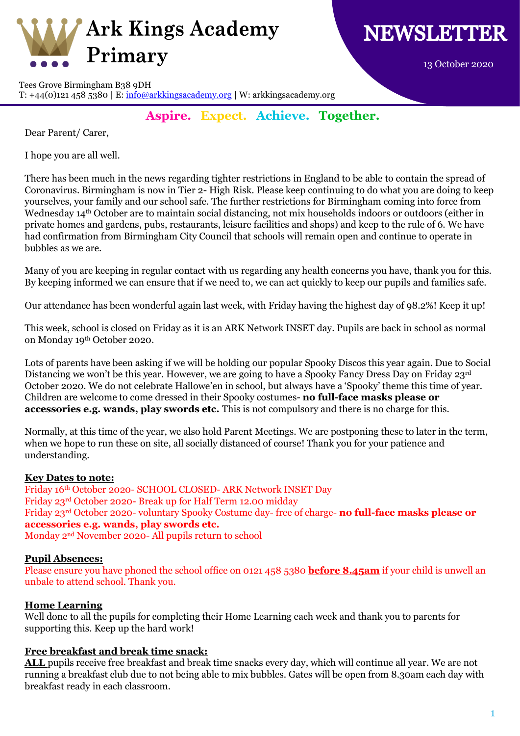

13 October 2020

Tees Grove Birmingham B38 9DH T: +44(0)121 458 5380 | E:  $\frac{info@arkkingsacademy.org}{W: arkkingsacademy.org}$ 

**Aspire. Expect. Achieve. Together.**

Dear Parent/ Carer,

I hope you are all well.

There has been much in the news regarding tighter restrictions in England to be able to contain the spread of Coronavirus. Birmingham is now in Tier 2- High Risk. Please keep continuing to do what you are doing to keep yourselves, your family and our school safe. The further restrictions for Birmingham coming into force from Wednesday 14th October are to maintain social distancing, not mix households indoors or outdoors (either in private homes and gardens, pubs, restaurants, leisure facilities and shops) and keep to the rule of 6. We have had confirmation from Birmingham City Council that schools will remain open and continue to operate in bubbles as we are.

Many of you are keeping in regular contact with us regarding any health concerns you have, thank you for this. By keeping informed we can ensure that if we need to, we can act quickly to keep our pupils and families safe.

Our attendance has been wonderful again last week, with Friday having the highest day of 98.2%! Keep it up!

This week, school is closed on Friday as it is an ARK Network INSET day. Pupils are back in school as normal on Monday 19th October 2020.

Lots of parents have been asking if we will be holding our popular Spooky Discos this year again. Due to Social Distancing we won't be this year. However, we are going to have a Spooky Fancy Dress Day on Friday 23rd October 2020. We do not celebrate Hallowe'en in school, but always have a 'Spooky' theme this time of year. Children are welcome to come dressed in their Spooky costumes- **no full-face masks please or accessories e.g. wands, play swords etc.** This is not compulsory and there is no charge for this.

Normally, at this time of the year, we also hold Parent Meetings. We are postponing these to later in the term, when we hope to run these on site, all socially distanced of course! Thank you for your patience and understanding.

# **Key Dates to note:**

Friday 16th October 2020- SCHOOL CLOSED- ARK Network INSET Day Friday 23rd October 2020- Break up for Half Term 12.00 midday Friday 23rd October 2020- voluntary Spooky Costume day- free of charge- **no full-face masks please or accessories e.g. wands, play swords etc.** Monday 2nd November 2020- All pupils return to school

# **Pupil Absences:**

Please ensure you have phoned the school office on 0121 458 5380 **before 8.45am** if your child is unwell an unbale to attend school. Thank you.

# **Home Learning**

Well done to all the pupils for completing their Home Learning each week and thank you to parents for supporting this. Keep up the hard work!

# **Free breakfast and break time snack:**

**ALL** pupils receive free breakfast and break time snacks every day, which will continue all year. We are not running a breakfast club due to not being able to mix bubbles. Gates will be open from 8.30am each day with breakfast ready in each classroom.